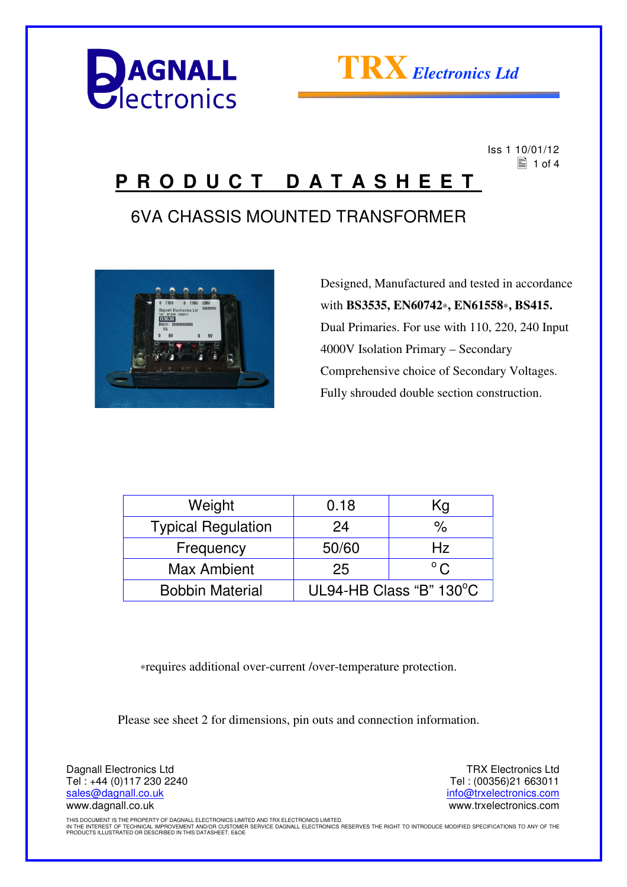



 Iss 1 10/01/12  $\equiv$  1 of 4

### **P R O D U C T D A T A S H E E T**

### 6VA CHASSIS MOUNTED TRANSFORMER



 Designed, Manufactured and tested in accordance with **BS3535, EN60742**∗**, EN61558**∗**, BS415.** Dual Primaries. For use with 110, 220, 240 Input 4000V Isolation Primary – Secondary Comprehensive choice of Secondary Voltages. Fully shrouded double section construction.

| Weight                    | 0.18                    | Kg            |
|---------------------------|-------------------------|---------------|
| <b>Typical Regulation</b> | 24                      | %             |
| Frequency                 | 50/60                   | Hz.           |
| <b>Max Ambient</b>        | 25                      | $^{\circ}$ C. |
| <b>Bobbin Material</b>    | UL94-HB Class "B" 130°C |               |

∗requires additional over-current /over-temperature protection.

Please see sheet 2 for dimensions, pin outs and connection information.

Dagnall Electronics Ltd Tel : +44 (0)117 230 2240 sales@dagnall.co.uk www.dagnall.co.uk

TRX Electronics Ltd Tel : (00356)21 663011 info@trxelectronics.com www.trxelectronics.com

THIS DOCUMENT IS THE PROPERTY OF DAGNALL ELECTRONICS LIMITED AND TRX ELECTRONICS LIMITED.<br>IN THE INTEREST OF TECHNICAL IMPROVEMENT AND/OR CUSTOMER SERVICE DAGNALL ELECTRONICS RESERVES THE RIGHT TO INTRODUCE MODIFIED SPECIF PRODUCTS ILLUSTRATED OR DESCRIBED IN THIS DATASHEET. E&OE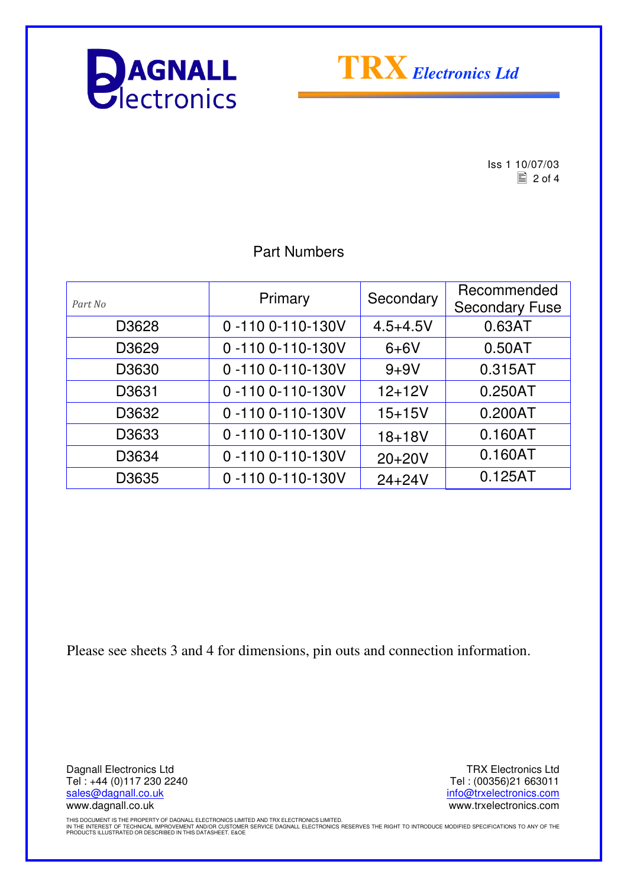



 $\begin{array}{r} \n \text{Iss 1 } 10/07/03 \\
\hline\n \text{2 of 4}\n \end{array}$  $\equiv$  2 of 4

#### Part Numbers

| Part No | Primary          | Secondary    | Recommended<br><b>Secondary Fuse</b> |
|---------|------------------|--------------|--------------------------------------|
| D3628   | 0-110 0-110-130V | $4.5 + 4.5V$ | 0.63AT                               |
| D3629   | 0-110 0-110-130V | $6+6V$       | 0.50AT                               |
| D3630   | 0-110 0-110-130V | $9 + 9V$     | 0.315AT                              |
| D3631   | 0-110 0-110-130V | $12 + 12V$   | 0.250AT                              |
| D3632   | 0-110 0-110-130V | $15 + 15V$   | 0.200AT                              |
| D3633   | 0-1100-110-130V  | $18 + 18V$   | 0.160AT                              |
| D3634   | 0-1100-110-130V  | $20+20V$     | 0.160AT                              |
| D3635   | 0-1100-110-130V  | $24 + 24V$   | 0.125AT                              |

Please see sheets 3 and 4 for dimensions, pin outs and connection information.

Dagnall Electronics Ltd Tel : +44 (0)117 230 2240 sales@dagnall.co.uk www.dagnall.co.uk

TRX Electronics Ltd Tel : (00356)21 663011 info@trxelectronics.com www.trxelectronics.com

THIS DOCUMENT IS THE PROPERTY OF DAGNALL ELECTRONICS LIMITED AND TRX ELECTRONICS LIMITED.<br>IN THE INTEREST OF TECHNICAL IMPROVEMENT AND/OR CUSTOMER SERVICE DAGNALL ELECTRONICS RESERVES THE RIGHT TO INTRODUCE MODIFIED SPECIF PRODUCTS ILLUSTRATED OR DESCRIBED IN THIS DATASHEET. E&OE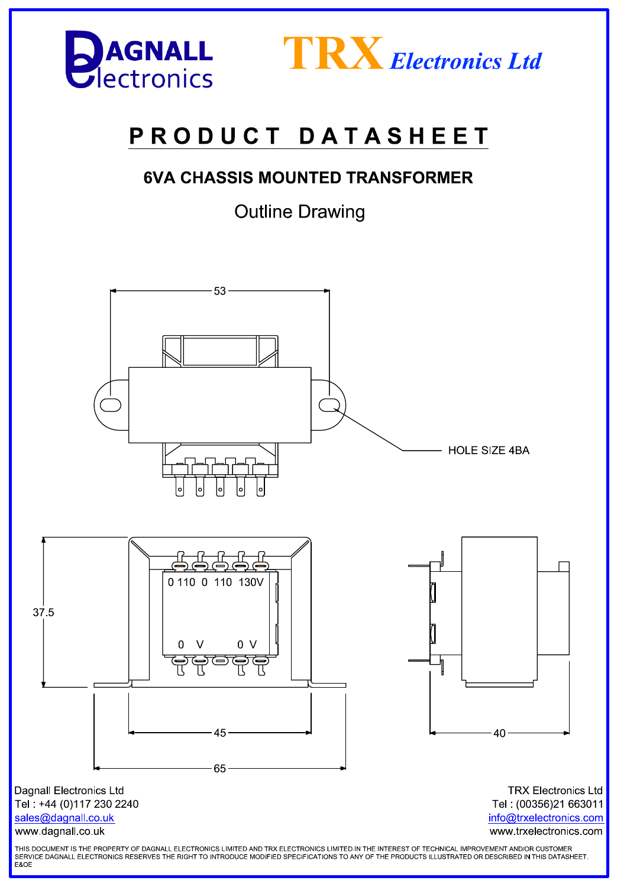



# PRODUCT DATASHEET

### **6VA CHASSIS MOUNTED TRANSFORMER**

**Outline Drawing**